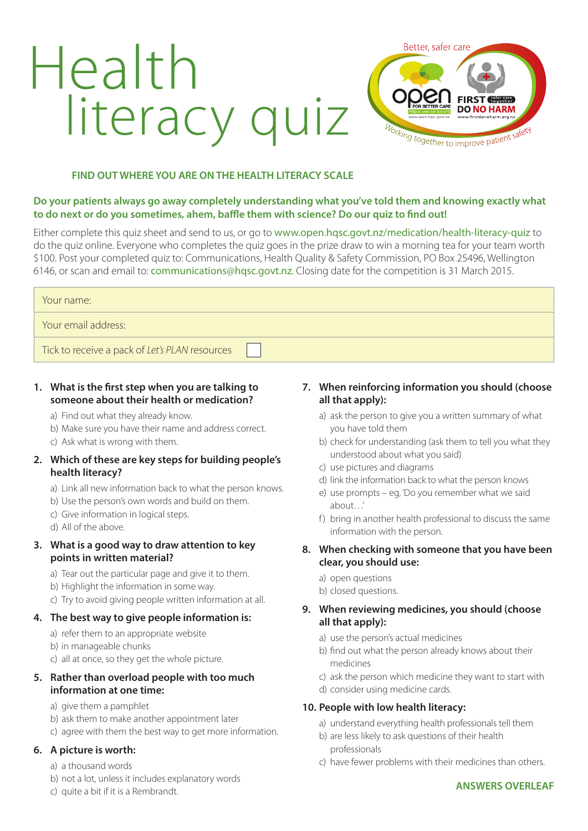# Health literacy quiz



#### **FIND OUT WHERE YOU ARE ON THE HEALTH LITERACY SCALE**

#### **Do your patients always go away completely understanding what you've told them and knowing exactly what to do next or do you sometimes, ahem, baffle them with science? Do our quiz to find out!**

Either complete this quiz sheet and send to us, or go to www.open.hqsc.govt.nz/medication/health-literacy-quiz to do the quiz online. Everyone who completes the quiz goes in the prize draw to win a morning tea for your team worth \$100. Post your completed quiz to: Communications, Health Quality & Safety Commission, PO Box 25496, Wellington 6146, or scan and email to: communications@hqsc.govt.nz. Closing date for the competition is 31 March 2015.

| Your name:                                     |  |
|------------------------------------------------|--|
| Your email address:                            |  |
| Tick to receive a pack of Let's PLAN resources |  |

#### **1. What is the first step when you are talking to someone about their health or medication?**

- a) Find out what they already know.
- b) Make sure you have their name and address correct.
- c) Ask what is wrong with them.

#### **2. Which of these are key steps for building people's health literacy?**

- a) Link all new information back to what the person knows.
- b) Use the person's own words and build on them.
- c) Give information in logical steps.
- d) All of the above.

#### **3. What is a good way to draw attention to key points in written material?**

- a) Tear out the particular page and give it to them.
- b) Highlight the information in some way.
- c) Try to avoid giving people written information at all.

#### **4. The best way to give people information is:**

- a) refer them to an appropriate website
- b) in manageable chunks
- c) all at once, so they get the whole picture.

#### **5. Rather than overload people with too much information at one time:**

- a) give them a pamphlet
- b) ask them to make another appointment later
- c) agree with them the best way to get more information.

#### **6. A picture is worth:**

- a) a thousand words
- b) not a lot, unless it includes explanatory words
- c) quite a bit if it is a Rembrandt.

## **7. When reinforcing information you should (choose all that apply):**

- a) ask the person to give you a written summary of what you have told them
- b) check for understanding (ask them to tell you what they understood about what you said)
- c) use pictures and diagrams
- d) link the information back to what the person knows
- e) use prompts eg, 'Do you remember what we said about…'
- f) bring in another health professional to discuss the same information with the person.

#### **8. When checking with someone that you have been clear, you should use:**

- a) open questions
- b) closed questions.

#### **9. When reviewing medicines, you should (choose all that apply):**

- a) use the person's actual medicines
- b) find out what the person already knows about their medicines
- c) ask the person which medicine they want to start with
- d) consider using medicine cards.

#### **10. People with low health literacy:**

- a) understand everything health professionals tell them
- b) are less likely to ask questions of their health professionals
- c) have fewer problems with their medicines than others.

#### **ANSWERS OVERLEAF**